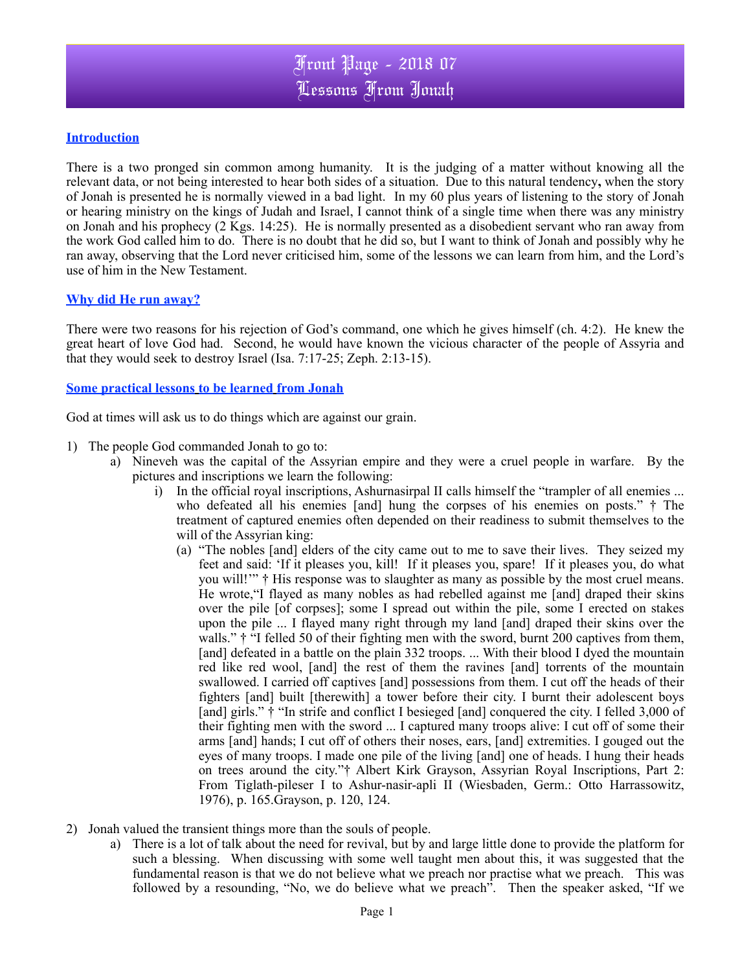## **Introduction**

There is a two pronged sin common among humanity. It is the judging of a matter without knowing all the relevant data, or not being interested to hear both sides of a situation. Due to this natural tendency**,** when the story of Jonah is presented he is normally viewed in a bad light. In my 60 plus years of listening to the story of Jonah or hearing ministry on the kings of Judah and Israel, I cannot think of a single time when there was any ministry on Jonah and his prophecy (2 Kgs. 14:25). He is normally presented as a disobedient servant who ran away from the work God called him to do. There is no doubt that he did so, but I want to think of Jonah and possibly why he ran away, observing that the Lord never criticised him, some of the lessons we can learn from him, and the Lord's use of him in the New Testament.

## **Why did He run away?**

There were two reasons for his rejection of God's command, one which he gives himself (ch. 4:2). He knew the great heart of love God had. Second, he would have known the vicious character of the people of Assyria and that they would seek to destroy Israel (Isa. 7:17-25; Zeph. 2:13-15).

## **Some practical lessons to be learned from Jonah**

God at times will ask us to do things which are against our grain.

- 1) The people God commanded Jonah to go to:
	- a) Nineveh was the capital of the Assyrian empire and they were a cruel people in warfare. By the pictures and inscriptions we learn the following:
		- i) In the official royal inscriptions, Ashurnasirpal II calls himself the "trampler of all enemies ... who defeated all his enemies [and] hung the corpses of his enemies on posts."  $\dagger$  The treatment of captured enemies often depended on their readiness to submit themselves to the will of the Assyrian king:
			- (a) "The nobles [and] elders of the city came out to me to save their lives. They seized my feet and said: 'If it pleases you, kill! If it pleases you, spare! If it pleases you, do what you will!'" † His response was to slaughter as many as possible by the most cruel means. He wrote,"I flayed as many nobles as had rebelled against me [and] draped their skins over the pile [of corpses]; some I spread out within the pile, some I erected on stakes upon the pile ... I flayed many right through my land [and] draped their skins over the walls."  $\dagger$  "I felled 50 of their fighting men with the sword, burnt 200 captives from them, [and] defeated in a battle on the plain 332 troops. ... With their blood I dyed the mountain red like red wool, [and] the rest of them the ravines [and] torrents of the mountain swallowed. I carried off captives [and] possessions from them. I cut off the heads of their fighters [and] built [therewith] a tower before their city. I burnt their adolescent boys [and] girls."  $\dagger$  "In strife and conflict I besieged [and] conquered the city. I felled 3,000 of their fighting men with the sword ... I captured many troops alive: I cut off of some their arms [and] hands; I cut off of others their noses, ears, [and] extremities. I gouged out the eyes of many troops. I made one pile of the living [and] one of heads. I hung their heads on trees around the city."† Albert Kirk Grayson, Assyrian Royal Inscriptions, Part 2: From Tiglath-pileser I to Ashur-nasir-apli II (Wiesbaden, Germ.: Otto Harrassowitz, 1976), p. 165.Grayson, p. 120, 124.
- 2) Jonah valued the transient things more than the souls of people.
	- a) There is a lot of talk about the need for revival, but by and large little done to provide the platform for such a blessing. When discussing with some well taught men about this, it was suggested that the fundamental reason is that we do not believe what we preach nor practise what we preach. This was followed by a resounding, "No, we do believe what we preach". Then the speaker asked, "If we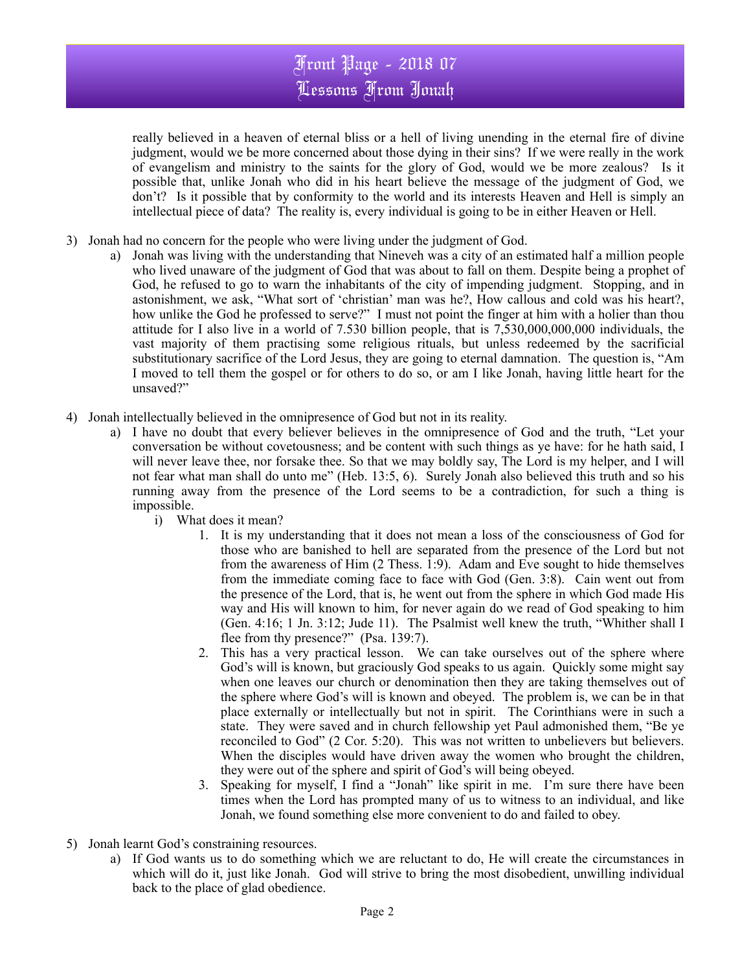really believed in a heaven of eternal bliss or a hell of living unending in the eternal fire of divine judgment, would we be more concerned about those dying in their sins? If we were really in the work of evangelism and ministry to the saints for the glory of God, would we be more zealous? Is it possible that, unlike Jonah who did in his heart believe the message of the judgment of God, we don't? Is it possible that by conformity to the world and its interests Heaven and Hell is simply an intellectual piece of data? The reality is, every individual is going to be in either Heaven or Hell.

- 3) Jonah had no concern for the people who were living under the judgment of God.
	- a) Jonah was living with the understanding that Nineveh was a city of an estimated half a million people who lived unaware of the judgment of God that was about to fall on them. Despite being a prophet of God, he refused to go to warn the inhabitants of the city of impending judgment. Stopping, and in astonishment, we ask, "What sort of 'christian' man was he?, How callous and cold was his heart?, how unlike the God he professed to serve?" I must not point the finger at him with a holier than thou attitude for I also live in a world of 7.530 billion people, that is 7,530,000,000,000 individuals, the vast majority of them practising some religious rituals, but unless redeemed by the sacrificial substitutionary sacrifice of the Lord Jesus, they are going to eternal damnation. The question is, "Am I moved to tell them the gospel or for others to do so, or am I like Jonah, having little heart for the unsaved?"
- 4) Jonah intellectually believed in the omnipresence of God but not in its reality.
	- a) I have no doubt that every believer believes in the omnipresence of God and the truth, "Let your conversation be without covetousness; and be content with such things as ye have: for he hath said, I will never leave thee, nor forsake thee. So that we may boldly say, The Lord is my helper, and I will not fear what man shall do unto me" (Heb. 13:5, 6). Surely Jonah also believed this truth and so his running away from the presence of the Lord seems to be a contradiction, for such a thing is impossible.
		- i) What does it mean?
			- 1. It is my understanding that it does not mean a loss of the consciousness of God for those who are banished to hell are separated from the presence of the Lord but not from the awareness of Him (2 Thess. 1:9). Adam and Eve sought to hide themselves from the immediate coming face to face with God (Gen. 3:8). Cain went out from the presence of the Lord, that is, he went out from the sphere in which God made His way and His will known to him, for never again do we read of God speaking to him (Gen. 4:16; 1 Jn. 3:12; Jude 11). The Psalmist well knew the truth, "Whither shall I flee from thy presence?" (Psa. 139:7).
			- 2. This has a very practical lesson. We can take ourselves out of the sphere where God's will is known, but graciously God speaks to us again. Quickly some might say when one leaves our church or denomination then they are taking themselves out of the sphere where God's will is known and obeyed. The problem is, we can be in that place externally or intellectually but not in spirit. The Corinthians were in such a state. They were saved and in church fellowship yet Paul admonished them, "Be ye reconciled to God" (2 Cor. 5:20). This was not written to unbelievers but believers. When the disciples would have driven away the women who brought the children, they were out of the sphere and spirit of God's will being obeyed.
			- 3. Speaking for myself, I find a "Jonah" like spirit in me. I'm sure there have been times when the Lord has prompted many of us to witness to an individual, and like Jonah, we found something else more convenient to do and failed to obey.
- 5) Jonah learnt God's constraining resources.
	- a) If God wants us to do something which we are reluctant to do, He will create the circumstances in which will do it, just like Jonah. God will strive to bring the most disobedient, unwilling individual back to the place of glad obedience.